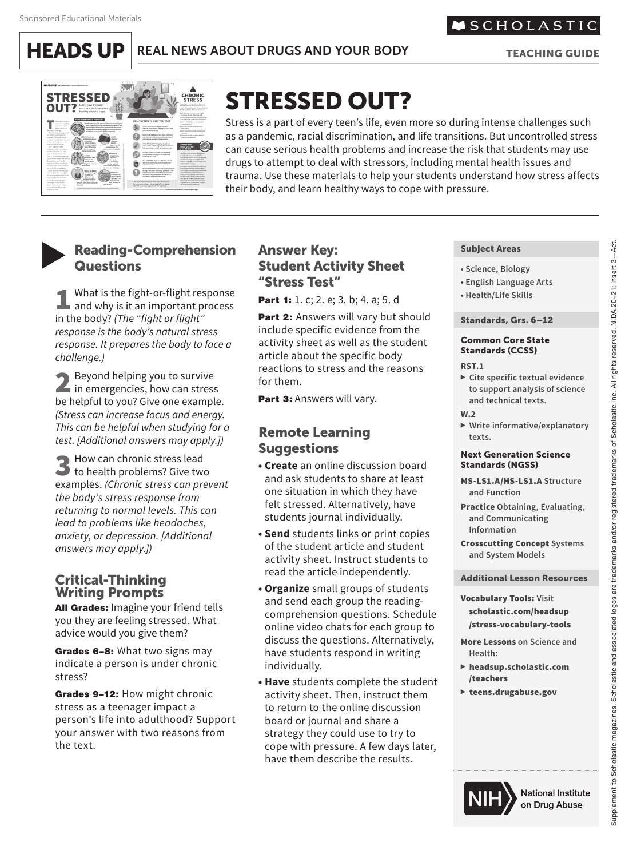**HEADS UP** REAL NEWS ABOUT DRUGS AND YOUR BODY

**MSCHOLASTIC** 

TEACHING GUIDE



# STRESSED OUT?

Stress is a part of every teen's life, even more so during intense challenges such as a pandemic, racial discrimination, and life transitions. But uncontrolled stress can cause serious health problems and increase the risk that students may use drugs to attempt to deal with stressors, including mental health issues and trauma. Use these materials to help your students understand how stress affects their body, and learn healthy ways to cope with pressure.

# **Reading-Comprehension Questions**

**1** What is the fight-or-flight response<br>and why is it an important process<br>in the hody? (The "fight or flight" in the body? *(The "fight or flight" response is the body's natural stress response. It prepares the body to face a challenge.)*

2 Beyond helping you to survive<br>in emergencies, how can stress<br>be helpful to you? Give and avainshe be helpful to you? Give one example. *(Stress can increase focus and energy. This can be helpful when studying for a test. [Additional answers may apply.])*

3 How can chronic stress lead to health problems? Give two examples. *(Chronic stress can prevent the body's stress response from returning to normal levels. This can lead to problems like headaches, anxiety, or depression. [Additional answers may apply.])*

## Critical-Thinking Writing Prompts

All Grades: Imagine your friend tells you they are feeling stressed. What advice would you give them?

Grades 6-8: What two signs may indicate a person is under chronic stress?

Grades 9-12: How might chronic stress as a teenager impact a person's life into adulthood? Support your answer with two reasons from the text.

## Answer Key: Student Activity Sheet "Stress Test"

Part 1: 1. c; 2. e; 3. b; 4. a; 5. d

Part 2: Answers will vary but should include specific evidence from the activity sheet as well as the student article about the specific body reactions to stress and the reasons for them.

Part 3: Answers will vary.

# Remote Learning **Suggestions**

- **Create** an online discussion board and ask students to share at least one situation in which they have felt stressed. Alternatively, have students journal individually.
- **Send** students links or print copies of the student article and student activity sheet. Instruct students to read the article independently.
- **Organize** small groups of students and send each group the readingcomprehension questions. Schedule online video chats for each group to discuss the questions. Alternatively, have students respond in writing individually.
- **Have** students complete the student activity sheet. Then, instruct them to return to the online discussion board or journal and share a strategy they could use to try to cope with pressure. A few days later, have them describe the results.

#### Subject Areas

- **Science, Biology**
- **English Language Arts**
- **Health/Life Skills**

#### Standards, Grs. 6–12

#### Common Core State Standards (CCSS)

#### **RST.1**

- **Cite specific textual evidence to support analysis of science and technical texts.**
- **W.2**

#### **Write informative/explanatory texts.**

#### Next Generation Science Standards (NGSS)

- MS-LS1.A/HS-LS1.A **Structure and Function**
- Practice **Obtaining, Evaluating, and Communicating Information**

Crosscutting Concept **Systems and System Models**

#### Additional Lesson Resources

Vocabulary Tools: **Visit**  scholastic.com/headsup /stress-vocabulary-tools

More Lessons **on Science and Health:**

- headsup.scholastic.com /teachers
- teens.drugabuse.gov